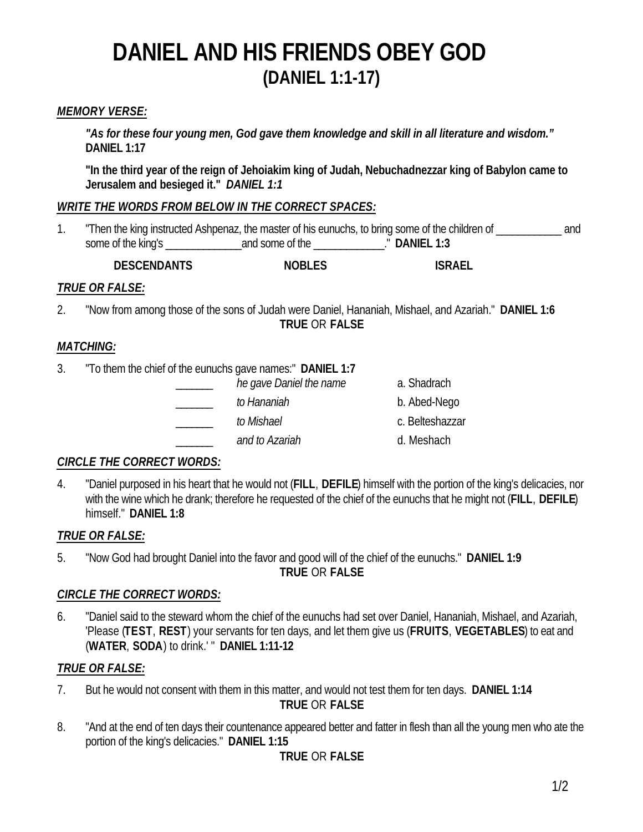## *MEMORY VERSE:*

*"As for these four young men, God gave them knowledge and skill in all literature and wisdom."* **DANIEL 1:17**

**"In the third year of the reign of Jehoiakim king of Judah, Nebuchadnezzar king of Babylon came to Jerusalem and besieged it."** *DANIEL 1:1*

#### *WRITE THE WORDS FROM BELOW IN THE CORRECT SPACES:*

| "Then the king instructed Ashpenaz, the master of his eunuchs, to bring some of the children of _ |                 |              | and |
|---------------------------------------------------------------------------------------------------|-----------------|--------------|-----|
| some of the king's                                                                                | and some of the | " DANIEL 1:3 |     |

**DESCENDANTS NOBLES ISRAEL**

#### *TRUE OR FALSE:*

2. "Now from among those of the sons of Judah were Daniel, Hananiah, Mishael, and Azariah." **DANIEL 1:6 TRUE** OR **FALSE**

#### *MATCHING:*

- 3. "To them the chief of the eunuchs gave names:" **DANIEL 1:7**
	- he gave Daniel the name a. Shadrach \_\_\_\_\_\_\_ *to Hananiah* b. Abed-Nego \_\_\_\_\_\_\_ *to Mishael* c. Belteshazzar \_\_\_\_\_\_\_ *and to Azariah* d. Meshach

#### *CIRCLE THE CORRECT WORDS:*

4. "Daniel purposed in his heart that he would not (**FILL**, **DEFILE**) himself with the portion of the king's delicacies, nor with the wine which he drank; therefore he requested of the chief of the eunuchs that he might not (**FILL**, **DEFILE**) himself." **DANIEL 1:8**

## *TRUE OR FALSE:*

5. "Now God had brought Daniel into the favor and good will of the chief of the eunuchs." **DANIEL 1:9**

**TRUE** OR **FALSE**

## *CIRCLE THE CORRECT WORDS:*

6. "Daniel said to the steward whom the chief of the eunuchs had set over Daniel, Hananiah, Mishael, and Azariah, 'Please (**TEST**, **REST**) your servants for ten days, and let them give us (**FRUITS**, **VEGETABLES**) to eat and (**WATER**, **SODA**) to drink.' " **DANIEL 1:11-12**

#### *TRUE OR FALSE:*

- 7. But he would not consent with them in this matter, and would not test them for ten days. **DANIEL 1:14 TRUE** OR **FALSE**
- 8. "And at the end of ten days their countenance appeared better and fatter in flesh than all the young men who ate the portion of the king's delicacies." **DANIEL 1:15**

**TRUE** OR **FALSE**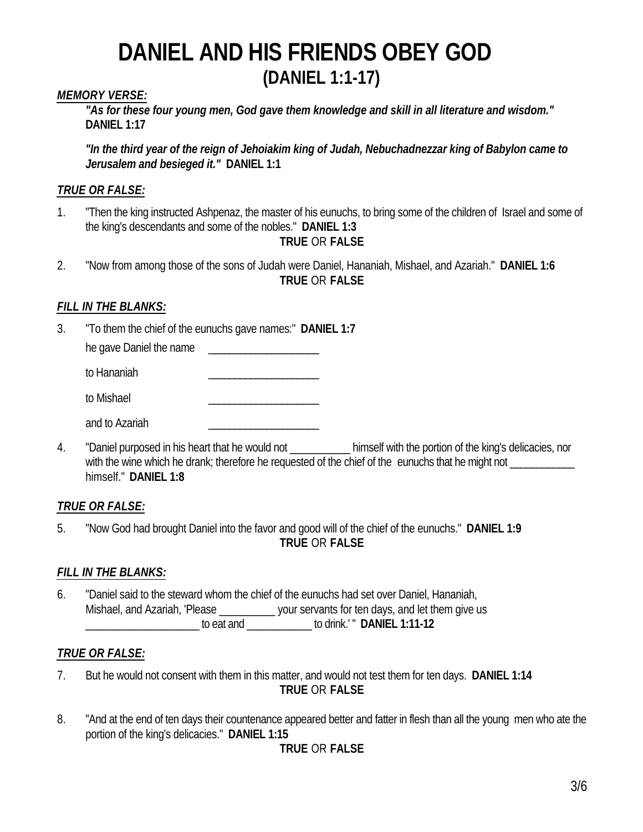#### *MEMORY VERSE:*

*"As for these four young men, God gave them knowledge and skill in all literature and wisdom."* **DANIEL 1:17**

*"In the third year of the reign of Jehoiakim king of Judah, Nebuchadnezzar king of Babylon came to Jerusalem and besieged it."* **DANIEL 1:1**

### *TRUE OR FALSE:*

1. "Then the king instructed Ashpenaz, the master of his eunuchs, to bring some of the children of Israel and some of the king's descendants and some of the nobles." **DANIEL 1:3**

#### **TRUE** OR **FALSE**

2. "Now from among those of the sons of Judah were Daniel, Hananiah, Mishael, and Azariah." **DANIEL 1:6 TRUE** OR **FALSE**

#### *FILL IN THE BLANKS:*

3. "To them the chief of the eunuchs gave names:" **DANIEL 1:7**

he gave Daniel the name

to Hananiah

to Mishael **Executive Server** 

and to Azariah

4. "Daniel purposed in his heart that he would not \_\_\_\_\_\_\_\_\_\_\_\_\_ himself with the portion of the king's delicacies, nor with the wine which he drank; therefore he requested of the chief of the eunuchs that he might not \_\_\_\_\_\_\_\_\_\_\_ himself." **DANIEL 1:8**

## *TRUE OR FALSE:*

5. "Now God had brought Daniel into the favor and good will of the chief of the eunuchs." **DANIEL 1:9 TRUE** OR **FALSE**

## *FILL IN THE BLANKS:*

6. "Daniel said to the steward whom the chief of the eunuchs had set over Daniel, Hananiah, Mishael, and Azariah, 'Please \_\_\_\_\_\_\_\_\_\_\_\_ your servants for ten days, and let them give us \_\_\_\_\_\_\_\_\_\_\_\_\_\_\_\_\_\_\_\_\_ to eat and \_\_\_\_\_\_\_\_\_\_\_\_ to drink.' " **DANIEL 1:11-12**

#### *TRUE OR FALSE:*

7. But he would not consent with them in this matter, and would not test them for ten days. **DANIEL 1:14**

**TRUE** OR **FALSE**

8. "And at the end of ten days their countenance appeared better and fatter in flesh than all the young men who ate the portion of the king's delicacies." **DANIEL 1:15**

## **TRUE** OR **FALSE**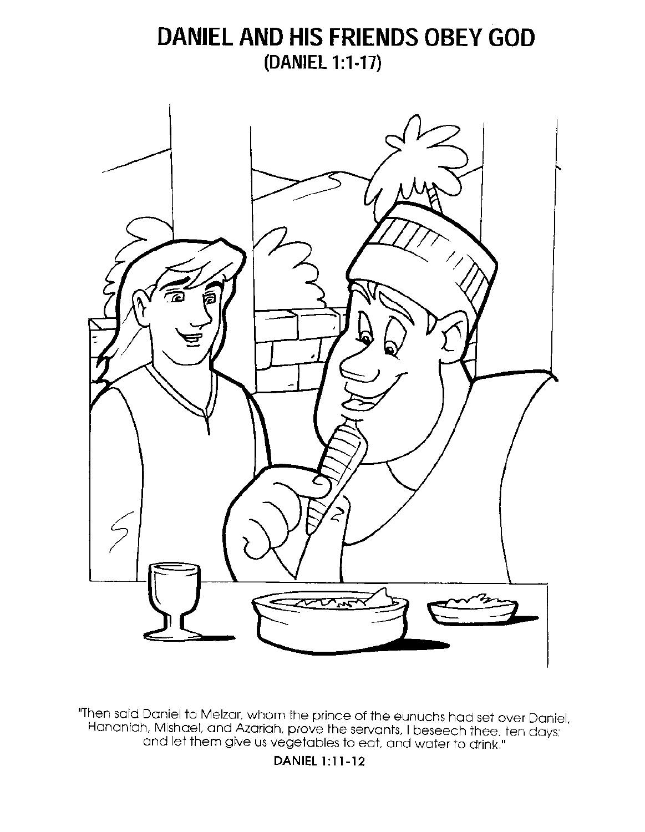

"Then said Daniel to Melzar, whom the prince of the eunuchs had set over Daniel,<br>Hananiah, Mishael, and Azariah, prove the servants. I beseech thee, ten days;<br>and let them give us vegetables to eat, and water to drink."

**DANIEL 1:11-12**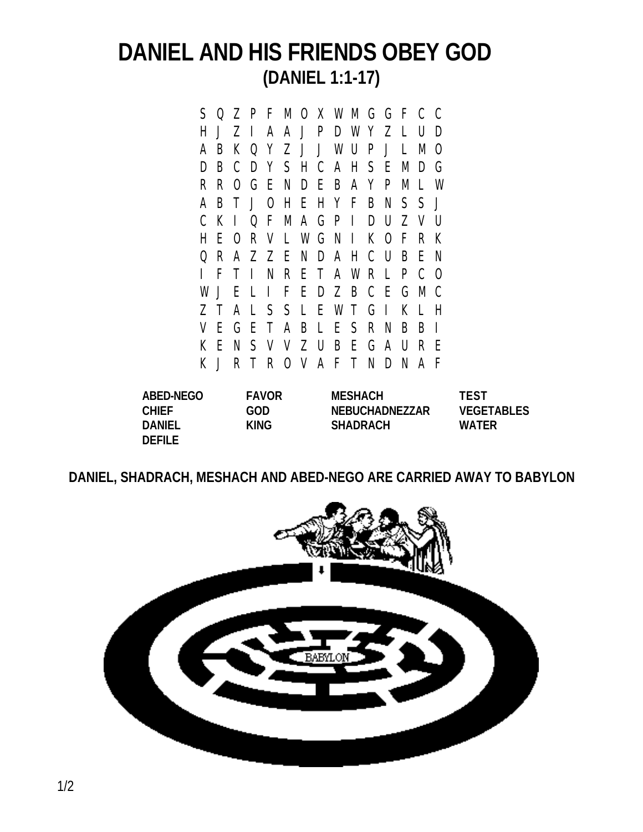S Q Z P F M O X W M G G F C C H J Z I A A J P D W Y Z L U D A B K Q Y Z J J W U P J L M O D B C D Y S H C A H S E M D G R R O G E N D E B A Y P M L W A B T J O H E H Y F B N S S J C K I Q F M A G P I D U Z V U H E O R V L W G N I K O F R K Q R A Z Z E N D A H C U B E N I F T I N R E T A W R L P C O W J E L I F E D Z B C E G M C Z T A L S S L E W T G I K L H V E G E T A B L E S R N B B I K E N S V V Z U B E G A U R E K J R T R O V A F T N D N A F

**DEFILE**

**ABED-NEGO FAVOR MESHACH TEST CHIEF GOD NEBUCHADNEZZAR VEGETABLES DANIEL KING SHADRACH WATER**

**DANIEL, SHADRACH, MESHACH AND ABED-NEGO ARE CARRIED AWAY TO BABYLON**

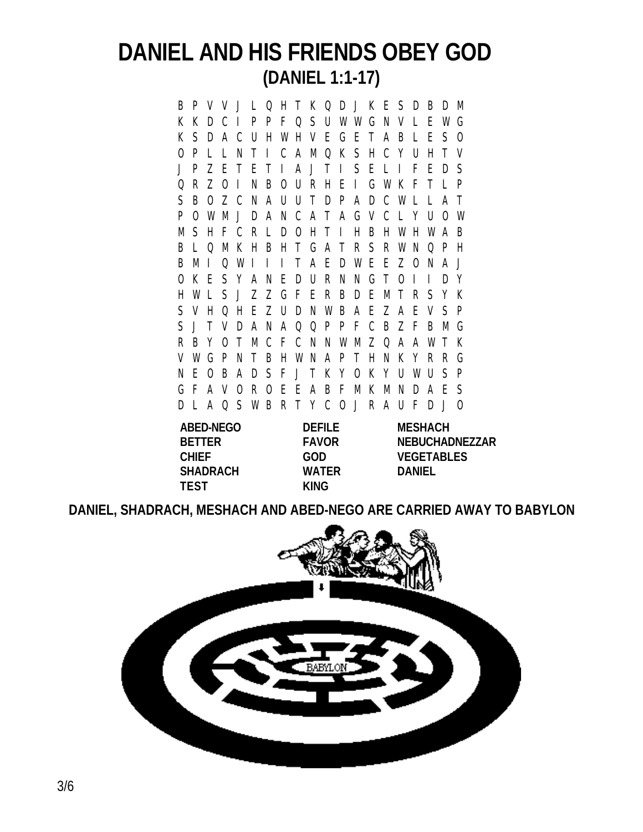B P V V J L Q H T K Q D J K E S D B D M K K D C I P P F Q S U W W G N V L E W G K S D A C U H W H V E G E T A B L E S O O P L L N T I C A M Q K S H C Y U H T V J P Z E T E T I A J T I S E L I F E D S Q R Z O I N B O U R H E I G W K F T L P S B O Z C N A U U T D P A D C W L L A T P O W M J D A N C A T A G V C L Y U O W M S H F C R L D O H T I H B H W H W A B B L Q M K H B H T G A T R S R W N Q P H B M I Q W I I I T A E D W E E Z O N A J O K E S Y A N E D U R N N G T O I I D Y H W L S J Z Z G F E R B D E M T R S Y K S V H Q H E Z U D N W B A E Z A E V S P S J T V D A N A Q Q P P F C B Z F B M G R B Y O T M C F C N N W M Z Q A A W T K V W G P N T B H W N A P T H N K Y R R G N E O B A D S F J T K Y O K Y U W U S P G F A V O R O E E A B F M K M N D A E S D L A Q S W B R T Y C O J R A U F D J O

**ABED-NEGO DEFILE MESHACH SHADRACH WATER DANIEL TEST KING**

**BETTER FAVOR NEBUCHADNEZZAR CHIEF GOD VEGETABLES**

**DANIEL, SHADRACH, MESHACH AND ABED-NEGO ARE CARRIED AWAY TO BABYLON**